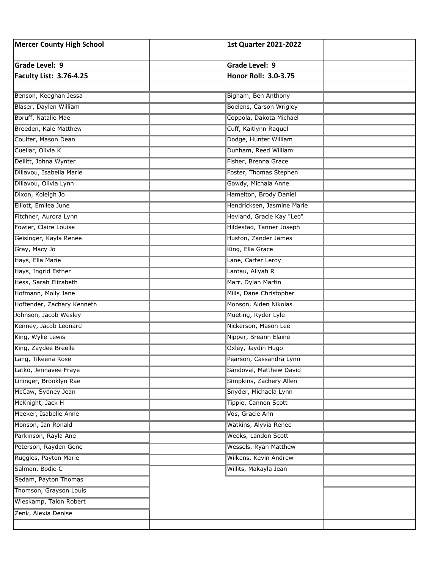| <b>Mercer County High School</b> | <b>1st Quarter 2021-2022</b> |  |
|----------------------------------|------------------------------|--|
|                                  |                              |  |
| Grade Level: 9                   | Grade Level: 9               |  |
| <b>Faculty List: 3.76-4.25</b>   | Honor Roll: 3.0-3.75         |  |
|                                  |                              |  |
| Benson, Keeghan Jessa            | Bigham, Ben Anthony          |  |
| Blaser, Daylen William           | Boelens, Carson Wrigley      |  |
| Boruff, Natalie Mae              | Coppola, Dakota Michael      |  |
| Breeden, Kale Matthew            | Cuff, Kaitlynn Raquel        |  |
| Coulter, Mason Dean              | Dodge, Hunter William        |  |
| Cuellar, Olivia K                | Dunham, Reed William         |  |
| Dellitt, Johna Wynter            | Fisher, Brenna Grace         |  |
| Dillavou, Isabella Marie         | Foster, Thomas Stephen       |  |
| Dillavou, Olivia Lynn            | Gowdy, Michala Anne          |  |
| Dixon, Koleigh Jo                | Hamelton, Brody Daniel       |  |
| Elliott, Emilea June             | Hendricksen, Jasmine Marie   |  |
| Fitchner, Aurora Lynn            | Hevland, Gracie Kay "Leo"    |  |
| Fowler, Claire Louise            | Hildestad, Tanner Joseph     |  |
| Geisinger, Kayla Renee           | Huston, Zander James         |  |
| Gray, Macy Jo                    | King, Ella Grace             |  |
| Hays, Ella Marie                 | Lane, Carter Leroy           |  |
| Hays, Ingrid Esther              | Lantau, Aliyah R             |  |
| Hess, Sarah Elizabeth            | Marr, Dylan Martin           |  |
| Hofmann, Molly Jane              | Mills, Dane Christopher      |  |
| Hoftender, Zachary Kenneth       | Monson, Aiden Nikolas        |  |
| Johnson, Jacob Wesley            | Mueting, Ryder Lyle          |  |
| Kenney, Jacob Leonard            | Nickerson, Mason Lee         |  |
| King, Wylie Lewis                | Nipper, Breann Elaine        |  |
| King, Zaydee Breelle             | Oxley, Jaydin Hugo           |  |
| Lang, Tikeena Rose               | Pearson, Cassandra Lynn      |  |
| Latko, Jennavee Fraye            | Sandoval, Matthew David      |  |
| Lininger, Brooklyn Rae           | Simpkins, Zachery Allen      |  |
| McCaw, Sydney Jean               | Snyder, Michaela Lynn        |  |
| McKnight, Jack H                 | Tippie, Cannon Scott         |  |
| Meeker, Isabelle Anne            | Vos, Gracie Ann              |  |
| Monson, Ian Ronald               | Watkins, Alyvia Renee        |  |
| Parkinson, Rayla Ane             | Weeks, Landon Scott          |  |
| Peterson, Rayden Gene            | Wessels, Ryan Matthew        |  |
| Ruggles, Payton Marie            | Wilkens, Kevin Andrew        |  |
| Salmon, Bodie C                  | Willits, Makayla Jean        |  |
| Sedam, Payton Thomas             |                              |  |
| Thomson, Grayson Louis           |                              |  |
| Wieskamp, Talon Robert           |                              |  |
| Zenk, Alexia Denise              |                              |  |
|                                  |                              |  |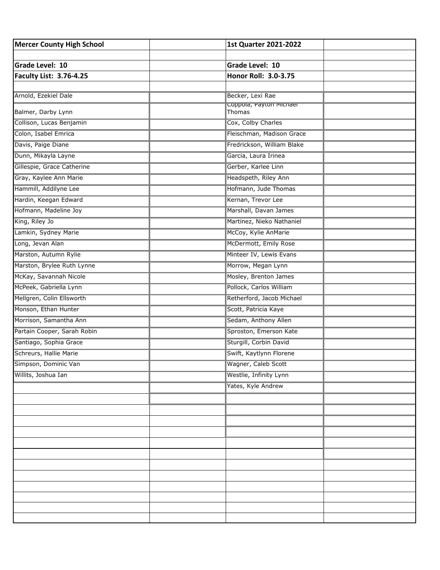| <b>Mercer County High School</b> | <b>1st Quarter 2021-2022</b>                |  |
|----------------------------------|---------------------------------------------|--|
|                                  |                                             |  |
| <b>Grade Level: 10</b>           | Grade Level: 10                             |  |
| <b>Faculty List: 3.76-4.25</b>   | Honor Roll: 3.0-3.75                        |  |
|                                  |                                             |  |
| Arnold, Ezekiel Dale             | Becker, Lexi Rae<br>Coppoia, Payton Michael |  |
| Balmer, Darby Lynn               | Thomas                                      |  |
| Collison, Lucas Benjamin         | Cox, Colby Charles                          |  |
| Colon, Isabel Emrica             | Fleischman, Madison Grace                   |  |
| Davis, Paige Diane               | Fredrickson, William Blake                  |  |
| Dunn, Mikayla Layne              | Garcia, Laura Irinea                        |  |
| Gillespie, Grace Catherine       | Gerber, Karlee Linn                         |  |
| Gray, Kaylee Ann Marie           | Headspeth, Riley Ann                        |  |
| Hammill, Addilyne Lee            | Hofmann, Jude Thomas                        |  |
| Hardin, Keegan Edward            | Kernan, Trevor Lee                          |  |
| Hofmann, Madeline Joy            | Marshall, Davan James                       |  |
| King, Riley Jo                   | Martinez, Nieko Nathaniel                   |  |
| Lamkin, Sydney Marie             | McCoy, Kylie AnMarie                        |  |
| Long, Jevan Alan                 | McDermott, Emily Rose                       |  |
| Marston, Autumn Rylie            | Minteer IV, Lewis Evans                     |  |
| Marston, Brylee Ruth Lynne       | Morrow, Megan Lynn                          |  |
| McKay, Savannah Nicole           | Mosley, Brenton James                       |  |
| McPeek, Gabriella Lynn           | Pollock, Carlos William                     |  |
| Mellgren, Colin Ellsworth        | Retherford, Jacob Michael                   |  |
| Monson, Ethan Hunter             | Scott, Patricia Kaye                        |  |
| Morrison, Samantha Ann           | Sedam, Anthony Allen                        |  |
| Partain Cooper, Sarah Robin      | Sproston, Emerson Kate                      |  |
| Santiago, Sophia Grace           | Sturgill, Corbin David                      |  |
| Schreurs, Hallie Marie           | Swift, Kaytlynn Florene                     |  |
| Simpson, Dominic Van             | Wagner, Caleb Scott                         |  |
| Willits, Joshua Ian              | Westlie, Infinity Lynn                      |  |
|                                  | Yates, Kyle Andrew                          |  |
|                                  |                                             |  |
|                                  |                                             |  |
|                                  |                                             |  |
|                                  |                                             |  |
|                                  |                                             |  |
|                                  |                                             |  |
|                                  |                                             |  |
|                                  |                                             |  |
|                                  |                                             |  |
|                                  |                                             |  |
|                                  |                                             |  |
|                                  |                                             |  |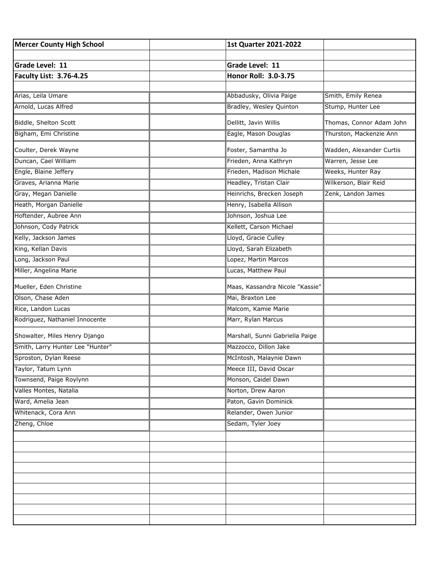| <b>Mercer County High School</b> | <b>1st Quarter 2021-2022</b>    |                          |
|----------------------------------|---------------------------------|--------------------------|
|                                  |                                 |                          |
| Grade Level: 11                  | Grade Level: 11                 |                          |
| <b>Faculty List: 3.76-4.25</b>   | Honor Roll: 3.0-3.75            |                          |
|                                  |                                 |                          |
| Arias, Leila Umare               | Abbadusky, Olivia Paige         | Smith, Emily Renea       |
| Arnold, Lucas Alfred             | Bradley, Wesley Quinton         | Stump, Hunter Lee        |
| Biddle, Shelton Scott            | Dellitt, Javin Willis           | Thomas, Connor Adam John |
| Bigham, Emi Christine            | Eagle, Mason Douglas            | Thurston, Mackenzie Ann  |
| Coulter, Derek Wayne             | Foster, Samantha Jo             | Wadden, Alexander Curtis |
| Duncan, Cael William             | Frieden, Anna Kathryn           | Warren, Jesse Lee        |
| Engle, Blaine Jeffery            | Frieden, Madison Michale        | Weeks, Hunter Ray        |
| Graves, Arianna Marie            | Headley, Tristan Clair          | Wilkerson, Blair Reid    |
| Gray, Megan Danielle             | Heinrichs, Brecken Joseph       | Zenk, Landon James       |
| Heath, Morgan Danielle           | Henry, Isabella Allison         |                          |
| Hoftender, Aubree Ann            | Johnson, Joshua Lee             |                          |
| Johnson, Cody Patrick            | Kellett, Carson Michael         |                          |
| Kelly, Jackson James             | Lloyd, Gracie Culley            |                          |
| King, Kellan Davis               | Lloyd, Sarah Elizabeth          |                          |
| Long, Jackson Paul               | Lopez, Martin Marcos            |                          |
| Miller, Angelina Marie           | Lucas, Matthew Paul             |                          |
| Mueller, Eden Christine          | Maas, Kassandra Nicole "Kassie" |                          |
| Olson, Chase Aden                | Mai, Braxton Lee                |                          |
| Rice, Landon Lucas               | Malcom, Kamie Marie             |                          |
| Rodriguez, Nathaniel Innocente   | Marr, Rylan Marcus              |                          |
| Showalter, Miles Henry Django    | Marshall, Sunni Gabriella Paige |                          |
| Smith, Larry Hunter Lee "Hunter" | Mazzocco, Dillon Jake           |                          |
| Sproston, Dylan Reese            | McIntosh, Malaynie Dawn         |                          |
| Taylor, Tatum Lynn               | Meece III, David Oscar          |                          |
| Townsend, Paige Roylynn          | Monson, Caidel Dawn             |                          |
| Valles Montes, Natalia           | Norton, Drew Aaron              |                          |
| Ward, Amelia Jean                | Paton, Gavin Dominick           |                          |
| Whitenack, Cora Ann              | Relander, Owen Junior           |                          |
| Zheng, Chloe                     | Sedam, Tyler Joey               |                          |
|                                  |                                 |                          |
|                                  |                                 |                          |
|                                  |                                 |                          |
|                                  |                                 |                          |
|                                  |                                 |                          |
|                                  |                                 |                          |
|                                  |                                 |                          |
|                                  |                                 |                          |
|                                  |                                 |                          |